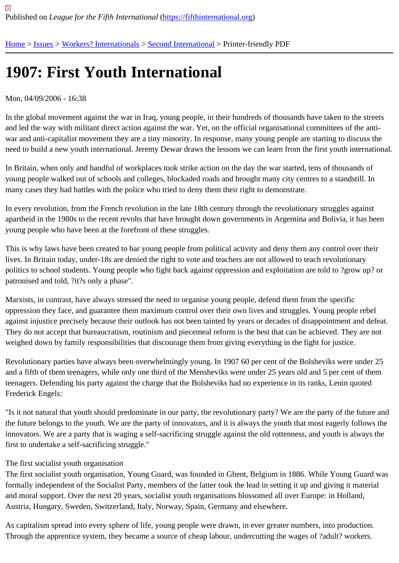## [190](https://fifthinternational.org/)[7: F](https://fifthinternational.org/category/7)[irst Youth In](https://fifthinternational.org/category/7/459)[ternationa](https://fifthinternational.org/category/7/459/461)l

## Mon, 04/09/2006 - 16:38

In the global movement against the war in Iraq, young people, in their hundreds of thousands have taken to the str and led the way with militant direct action against the war. Yet, on the official organisational committees of the antiwar and anti-capitalist movement they are a tiny minority. In response, many young people are starting to discuss need to build a new youth international. Jeremy Dewar draws the lessons we can learn from the first youth interna

In Britain, when only and handful of workplaces took strike action on the day the war started, tens of thousands of young people walked out of schools and colleges, blockaded roads and brought many city centres to a standstill. I many cases they had battles with the police who tried to deny them their right to demonstrate.

In every revolution, from the French revolution in the late 18th century through the revolutionary struggles against apartheid in the 1980s to the recent revolts that have brought down governments in Argentina and Bolivia, it has b young people who have been at the forefront of these struggles.

This is why laws have been created to bar young people from political activity and deny them any control over their lives. In Britain today, under-18s are denied the right to vote and teachers are not allowed to teach revolutionary politics to school students. Young people who fight back against oppression and exploitation are told to ?grow up? patronised and told, ?it?s only a phase".

Marxists, in contrast, have always stressed the need to organise young people, defend them from the specific oppression they face, and guarantee them maximum control over their own lives and struggles. Young people rebe against injustice precisely because their outlook has not been tainted by years or decades of disappointment and d They do not accept that bureaucratism, routinism and piecemeal reform is the best that can be achieved. They are weighed down by family responsibilities that discourage them from giving everything in the fight for justice.

Revolutionary parties have always been overwhelmingly young. In 1907 60 per cent of the Bolsheviks were under and a fifth of them teenagers, while only one third of the Mensheviks were under 25 years old and 5 per cent of the teenagers. Defending his party against the charge that the Bolsheviks had no experience in its ranks, Lenin quote Frederick Engels:

"Is it not natural that youth should predominate in our party, the revolutionary party? We are the party of the future the future belongs to the youth. We are the party of innovators, and it is always the youth that most eagerly follows innovators. We are a party that is waging a self-sacrificing struggle against the old rottenness, and youth is always the first to undertake a self-sacrificing struggle."

## The first socialist youth organisation

The first socialist youth organisation, Young Guard, was founded in Ghent, Belgium in 1886. While Young Guard v formally independent of the Socialist Party, members of the latter took the lead in setting it up and giving it materia and moral support. Over the next 20 years, socialist youth organisations blossomed all over Europe: in Holland, Austria, Hungary, Sweden, Switzerland, Italy, Norway, Spain, Germany and elsewhere.

As capitalism spread into every sphere of life, young people were drawn, in ever greater numbers, into production. Through the apprentice system, they became a source of cheap labour, undercutting the wages of ?adult? worker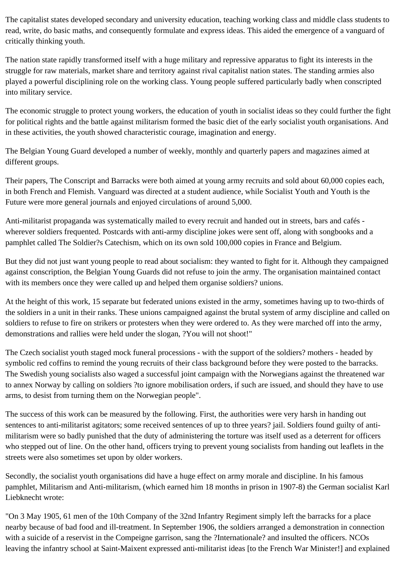The capitalist states developed secondary and university education, teaching working class and middle class students to read, write, do basic maths, and consequently formulate and express ideas. This aided the emergence of a vanguard of critically thinking youth.

The nation state rapidly transformed itself with a huge military and repressive apparatus to fight its interests in the struggle for raw materials, market share and territory against rival capitalist nation states. The standing armies also played a powerful disciplining role on the working class. Young people suffered particularly badly when conscripted into military service.

The economic struggle to protect young workers, the education of youth in socialist ideas so they could further the fight for political rights and the battle against militarism formed the basic diet of the early socialist youth organisations. And in these activities, the youth showed characteristic courage, imagination and energy.

The Belgian Young Guard developed a number of weekly, monthly and quarterly papers and magazines aimed at different groups.

Their papers, The Conscript and Barracks were both aimed at young army recruits and sold about 60,000 copies each, in both French and Flemish. Vanguard was directed at a student audience, while Socialist Youth and Youth is the Future were more general journals and enjoyed circulations of around 5,000.

Anti-militarist propaganda was systematically mailed to every recruit and handed out in streets, bars and cafés wherever soldiers frequented. Postcards with anti-army discipline jokes were sent off, along with songbooks and a pamphlet called The Soldier?s Catechism, which on its own sold 100,000 copies in France and Belgium.

But they did not just want young people to read about socialism: they wanted to fight for it. Although they campaigned against conscription, the Belgian Young Guards did not refuse to join the army. The organisation maintained contact with its members once they were called up and helped them organise soldiers? unions.

At the height of this work, 15 separate but federated unions existed in the army, sometimes having up to two-thirds of the soldiers in a unit in their ranks. These unions campaigned against the brutal system of army discipline and called on soldiers to refuse to fire on strikers or protesters when they were ordered to. As they were marched off into the army, demonstrations and rallies were held under the slogan, ?You will not shoot!"

The Czech socialist youth staged mock funeral processions - with the support of the soldiers? mothers - headed by symbolic red coffins to remind the young recruits of their class background before they were posted to the barracks. The Swedish young socialists also waged a successful joint campaign with the Norwegians against the threatened war to annex Norway by calling on soldiers ?to ignore mobilisation orders, if such are issued, and should they have to use arms, to desist from turning them on the Norwegian people".

The success of this work can be measured by the following. First, the authorities were very harsh in handing out sentences to anti-militarist agitators; some received sentences of up to three years? jail. Soldiers found guilty of antimilitarism were so badly punished that the duty of administering the torture was itself used as a deterrent for officers who stepped out of line. On the other hand, officers trying to prevent young socialists from handing out leaflets in the streets were also sometimes set upon by older workers.

Secondly, the socialist youth organisations did have a huge effect on army morale and discipline. In his famous pamphlet, Militarism and Anti-militarism, (which earned him 18 months in prison in 1907-8) the German socialist Karl Liebknecht wrote:

"On 3 May 1905, 61 men of the 10th Company of the 32nd Infantry Regiment simply left the barracks for a place nearby because of bad food and ill-treatment. In September 1906, the soldiers arranged a demonstration in connection with a suicide of a reservist in the Compeigne garrison, sang the ?Internationale? and insulted the officers. NCOs leaving the infantry school at Saint-Maixent expressed anti-militarist ideas [to the French War Minister!] and explained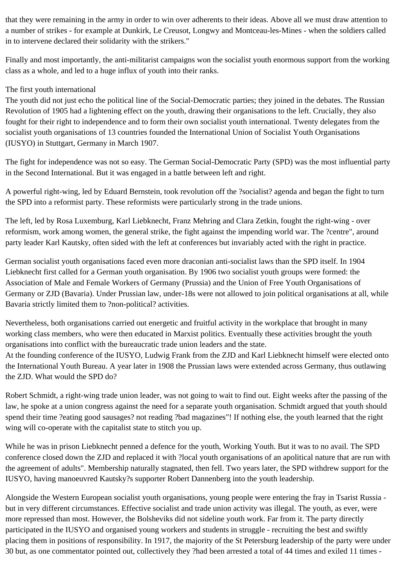that they were remaining in the army in order to win over adherents to their ideas. Above all we must draw attention to a number of strikes - for example at Dunkirk, Le Creusot, Longwy and Montceau-les-Mines - when the soldiers called in to intervene declared their solidarity with the strikers."

Finally and most importantly, the anti-militarist campaigns won the socialist youth enormous support from the working class as a whole, and led to a huge influx of youth into their ranks.

## The first youth international

The youth did not just echo the political line of the Social-Democratic parties; they joined in the debates. The Russian Revolution of 1905 had a lightening effect on the youth, drawing their organisations to the left. Crucially, they also fought for their right to independence and to form their own socialist youth international. Twenty delegates from the socialist youth organisations of 13 countries founded the International Union of Socialist Youth Organisations (IUSYO) in Stuttgart, Germany in March 1907.

The fight for independence was not so easy. The German Social-Democratic Party (SPD) was the most influential party in the Second International. But it was engaged in a battle between left and right.

A powerful right-wing, led by Eduard Bernstein, took revolution off the ?socialist? agenda and began the fight to turn the SPD into a reformist party. These reformists were particularly strong in the trade unions.

The left, led by Rosa Luxemburg, Karl Liebknecht, Franz Mehring and Clara Zetkin, fought the right-wing - over reformism, work among women, the general strike, the fight against the impending world war. The ?centre", around party leader Karl Kautsky, often sided with the left at conferences but invariably acted with the right in practice.

German socialist youth organisations faced even more draconian anti-socialist laws than the SPD itself. In 1904 Liebknecht first called for a German youth organisation. By 1906 two socialist youth groups were formed: the Association of Male and Female Workers of Germany (Prussia) and the Union of Free Youth Organisations of Germany or ZJD (Bavaria). Under Prussian law, under-18s were not allowed to join political organisations at all, while Bavaria strictly limited them to ?non-political? activities.

Nevertheless, both organisations carried out energetic and fruitful activity in the workplace that brought in many working class members, who were then educated in Marxist politics. Eventually these activities brought the youth organisations into conflict with the bureaucratic trade union leaders and the state.

At the founding conference of the IUSYO, Ludwig Frank from the ZJD and Karl Liebknecht himself were elected onto the International Youth Bureau. A year later in 1908 the Prussian laws were extended across Germany, thus outlawing the ZJD. What would the SPD do?

Robert Schmidt, a right-wing trade union leader, was not going to wait to find out. Eight weeks after the passing of the law, he spoke at a union congress against the need for a separate youth organisation. Schmidt argued that youth should spend their time ?eating good sausages? not reading ?bad magazines"! If nothing else, the youth learned that the right wing will co-operate with the capitalist state to stitch you up.

While he was in prison Liebknecht penned a defence for the youth, Working Youth. But it was to no avail. The SPD conference closed down the ZJD and replaced it with ?local youth organisations of an apolitical nature that are run with the agreement of adults". Membership naturally stagnated, then fell. Two years later, the SPD withdrew support for the IUSYO, having manoeuvred Kautsky?s supporter Robert Dannenberg into the youth leadership.

Alongside the Western European socialist youth organisations, young people were entering the fray in Tsarist Russia but in very different circumstances. Effective socialist and trade union activity was illegal. The youth, as ever, were more repressed than most. However, the Bolsheviks did not sideline youth work. Far from it. The party directly participated in the IUSYO and organised young workers and students in struggle - recruiting the best and swiftly placing them in positions of responsibility. In 1917, the majority of the St Petersburg leadership of the party were under 30 but, as one commentator pointed out, collectively they ?had been arrested a total of 44 times and exiled 11 times -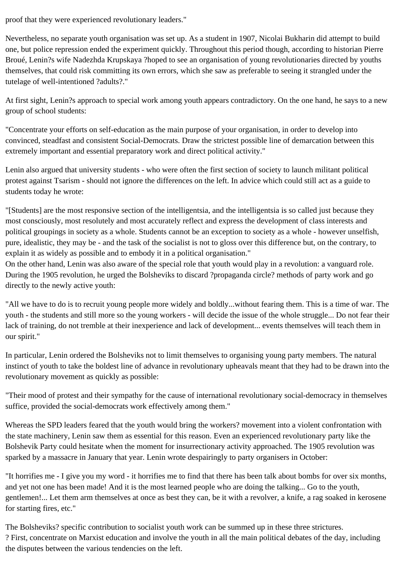proof that they were experienced revolutionary leaders."

Nevertheless, no separate youth organisation was set up. As a student in 1907, Nicolai Bukharin did attempt to build one, but police repression ended the experiment quickly. Throughout this period though, according to historian Pierre Broué, Lenin?s wife Nadezhda Krupskaya ?hoped to see an organisation of young revolutionaries directed by youths themselves, that could risk committing its own errors, which she saw as preferable to seeing it strangled under the tutelage of well-intentioned ?adults?."

At first sight, Lenin?s approach to special work among youth appears contradictory. On the one hand, he says to a new group of school students:

"Concentrate your efforts on self-education as the main purpose of your organisation, in order to develop into convinced, steadfast and consistent Social-Democrats. Draw the strictest possible line of demarcation between this extremely important and essential preparatory work and direct political activity."

Lenin also argued that university students - who were often the first section of society to launch militant political protest against Tsarism - should not ignore the differences on the left. In advice which could still act as a guide to students today he wrote:

"[Students] are the most responsive section of the intelligentsia, and the intelligentsia is so called just because they most consciously, most resolutely and most accurately reflect and express the development of class interests and political groupings in society as a whole. Students cannot be an exception to society as a whole - however unselfish, pure, idealistic, they may be - and the task of the socialist is not to gloss over this difference but, on the contrary, to explain it as widely as possible and to embody it in a political organisation."

On the other hand, Lenin was also aware of the special role that youth would play in a revolution: a vanguard role. During the 1905 revolution, he urged the Bolsheviks to discard ?propaganda circle? methods of party work and go directly to the newly active youth:

"All we have to do is to recruit young people more widely and boldly...without fearing them. This is a time of war. The youth - the students and still more so the young workers - will decide the issue of the whole struggle... Do not fear their lack of training, do not tremble at their inexperience and lack of development... events themselves will teach them in our spirit."

In particular, Lenin ordered the Bolsheviks not to limit themselves to organising young party members. The natural instinct of youth to take the boldest line of advance in revolutionary upheavals meant that they had to be drawn into the revolutionary movement as quickly as possible:

"Their mood of protest and their sympathy for the cause of international revolutionary social-democracy in themselves suffice, provided the social-democrats work effectively among them."

Whereas the SPD leaders feared that the youth would bring the workers? movement into a violent confrontation with the state machinery, Lenin saw them as essential for this reason. Even an experienced revolutionary party like the Bolshevik Party could hesitate when the moment for insurrectionary activity approached. The 1905 revolution was sparked by a massacre in January that year. Lenin wrote despairingly to party organisers in October:

"It horrifies me - I give you my word - it horrifies me to find that there has been talk about bombs for over six months, and yet not one has been made! And it is the most learned people who are doing the talking... Go to the youth, gentlemen!... Let them arm themselves at once as best they can, be it with a revolver, a knife, a rag soaked in kerosene for starting fires, etc."

The Bolsheviks? specific contribution to socialist youth work can be summed up in these three strictures. ? First, concentrate on Marxist education and involve the youth in all the main political debates of the day, including the disputes between the various tendencies on the left.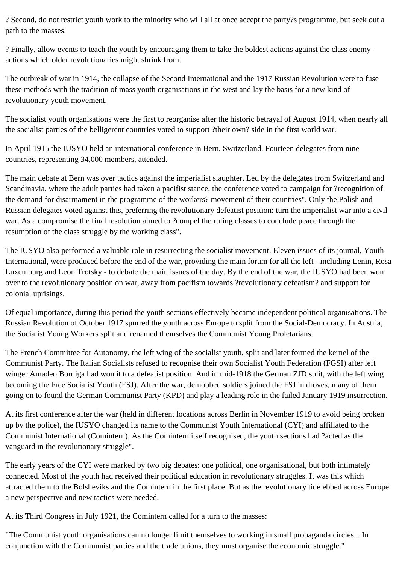? Second, do not restrict youth work to the minority who will all at once accept the party?s programme, but seek out a path to the masses.

? Finally, allow events to teach the youth by encouraging them to take the boldest actions against the class enemy actions which older revolutionaries might shrink from.

The outbreak of war in 1914, the collapse of the Second International and the 1917 Russian Revolution were to fuse these methods with the tradition of mass youth organisations in the west and lay the basis for a new kind of revolutionary youth movement.

The socialist youth organisations were the first to reorganise after the historic betrayal of August 1914, when nearly all the socialist parties of the belligerent countries voted to support ?their own? side in the first world war.

In April 1915 the IUSYO held an international conference in Bern, Switzerland. Fourteen delegates from nine countries, representing 34,000 members, attended.

The main debate at Bern was over tactics against the imperialist slaughter. Led by the delegates from Switzerland and Scandinavia, where the adult parties had taken a pacifist stance, the conference voted to campaign for ?recognition of the demand for disarmament in the programme of the workers? movement of their countries". Only the Polish and Russian delegates voted against this, preferring the revolutionary defeatist position: turn the imperialist war into a civil war. As a compromise the final resolution aimed to ?compel the ruling classes to conclude peace through the resumption of the class struggle by the working class".

The IUSYO also performed a valuable role in resurrecting the socialist movement. Eleven issues of its journal, Youth International, were produced before the end of the war, providing the main forum for all the left - including Lenin, Rosa Luxemburg and Leon Trotsky - to debate the main issues of the day. By the end of the war, the IUSYO had been won over to the revolutionary position on war, away from pacifism towards ?revolutionary defeatism? and support for colonial uprisings.

Of equal importance, during this period the youth sections effectively became independent political organisations. The Russian Revolution of October 1917 spurred the youth across Europe to split from the Social-Democracy. In Austria, the Socialist Young Workers split and renamed themselves the Communist Young Proletarians.

The French Committee for Autonomy, the left wing of the socialist youth, split and later formed the kernel of the Communist Party. The Italian Socialists refused to recognise their own Socialist Youth Federation (FGSI) after left winger Amadeo Bordiga had won it to a defeatist position. And in mid-1918 the German ZJD split, with the left wing becoming the Free Socialist Youth (FSJ). After the war, demobbed soldiers joined the FSJ in droves, many of them going on to found the German Communist Party (KPD) and play a leading role in the failed January 1919 insurrection.

At its first conference after the war (held in different locations across Berlin in November 1919 to avoid being broken up by the police), the IUSYO changed its name to the Communist Youth International (CYI) and affiliated to the Communist International (Comintern). As the Comintern itself recognised, the youth sections had ?acted as the vanguard in the revolutionary struggle".

The early years of the CYI were marked by two big debates: one political, one organisational, but both intimately connected. Most of the youth had received their political education in revolutionary struggles. It was this which attracted them to the Bolsheviks and the Comintern in the first place. But as the revolutionary tide ebbed across Europe a new perspective and new tactics were needed.

At its Third Congress in July 1921, the Comintern called for a turn to the masses:

"The Communist youth organisations can no longer limit themselves to working in small propaganda circles... In conjunction with the Communist parties and the trade unions, they must organise the economic struggle."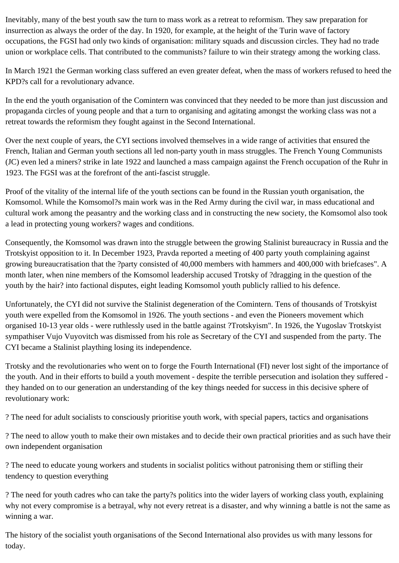Inevitably, many of the best youth saw the turn to mass work as a retreat to reformism. They saw preparation for insurrection as always the order of the day. In 1920, for example, at the height of the Turin wave of factory occupations, the FGSI had only two kinds of organisation: military squads and discussion circles. They had no trade union or workplace cells. That contributed to the communists? failure to win their strategy among the working class.

In March 1921 the German working class suffered an even greater defeat, when the mass of workers refused to heed the KPD?s call for a revolutionary advance.

In the end the youth organisation of the Comintern was convinced that they needed to be more than just discussion and propaganda circles of young people and that a turn to organising and agitating amongst the working class was not a retreat towards the reformism they fought against in the Second International.

Over the next couple of years, the CYI sections involved themselves in a wide range of activities that ensured the French, Italian and German youth sections all led non-party youth in mass struggles. The French Young Communists (JC) even led a miners? strike in late 1922 and launched a mass campaign against the French occupation of the Ruhr in 1923. The FGSI was at the forefront of the anti-fascist struggle.

Proof of the vitality of the internal life of the youth sections can be found in the Russian youth organisation, the Komsomol. While the Komsomol?s main work was in the Red Army during the civil war, in mass educational and cultural work among the peasantry and the working class and in constructing the new society, the Komsomol also took a lead in protecting young workers? wages and conditions.

Consequently, the Komsomol was drawn into the struggle between the growing Stalinist bureaucracy in Russia and the Trotskyist opposition to it. In December 1923, Pravda reported a meeting of 400 party youth complaining against growing bureaucratisation that the ?party consisted of 40,000 members with hammers and 400,000 with briefcases". A month later, when nine members of the Komsomol leadership accused Trotsky of ?dragging in the question of the youth by the hair? into factional disputes, eight leading Komsomol youth publicly rallied to his defence.

Unfortunately, the CYI did not survive the Stalinist degeneration of the Comintern. Tens of thousands of Trotskyist youth were expelled from the Komsomol in 1926. The youth sections - and even the Pioneers movement which organised 10-13 year olds - were ruthlessly used in the battle against ?Trotskyism". In 1926, the Yugoslav Trotskyist sympathiser Vujo Vuyovitch was dismissed from his role as Secretary of the CYI and suspended from the party. The CYI became a Stalinist plaything losing its independence.

Trotsky and the revolutionaries who went on to forge the Fourth International (FI) never lost sight of the importance of the youth. And in their efforts to build a youth movement - despite the terrible persecution and isolation they suffered they handed on to our generation an understanding of the key things needed for success in this decisive sphere of revolutionary work:

? The need for adult socialists to consciously prioritise youth work, with special papers, tactics and organisations

? The need to allow youth to make their own mistakes and to decide their own practical priorities and as such have their own independent organisation

? The need to educate young workers and students in socialist politics without patronising them or stifling their tendency to question everything

? The need for youth cadres who can take the party?s politics into the wider layers of working class youth, explaining why not every compromise is a betrayal, why not every retreat is a disaster, and why winning a battle is not the same as winning a war.

The history of the socialist youth organisations of the Second International also provides us with many lessons for today.